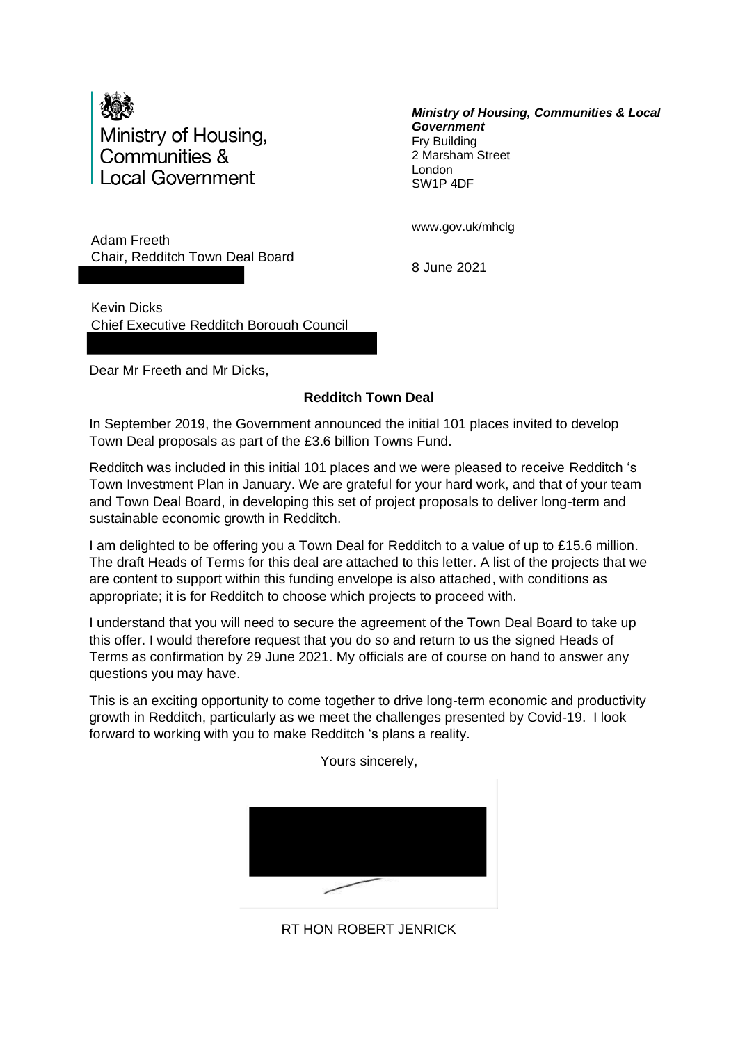

*Ministry of Housing, Communities & Local Government* Fry Building 2 Marsham Street London SW1P 4DF

Adam Freeth Chair, Redditch Town Deal Board www.gov.uk/mhclg

8 June 2021

Kevin Dicks Chief Executive Redditch Borough Council

Dear Mr Freeth and Mr Dicks,

# **Redditch Town Deal**

In September 2019, the Government announced the initial 101 places invited to develop Town Deal proposals as part of the £3.6 billion Towns Fund.

Redditch was included in this initial 101 places and we were pleased to receive Redditch 's Town Investment Plan in January. We are grateful for your hard work, and that of your team and Town Deal Board, in developing this set of project proposals to deliver long-term and sustainable economic growth in Redditch.

I am delighted to be offering you a Town Deal for Redditch to a value of up to £15.6 million. The draft Heads of Terms for this deal are attached to this letter. A list of the projects that we are content to support within this funding envelope is also attached, with conditions as appropriate; it is for Redditch to choose which projects to proceed with.

I understand that you will need to secure the agreement of the Town Deal Board to take up this offer. I would therefore request that you do so and return to us the signed Heads of Terms as confirmation by 29 June 2021. My officials are of course on hand to answer any questions you may have.

This is an exciting opportunity to come together to drive long-term economic and productivity growth in Redditch, particularly as we meet the challenges presented by Covid-19. I look forward to working with you to make Redditch 's plans a reality.



RT HON ROBERT JENRICK

Yours sincerely,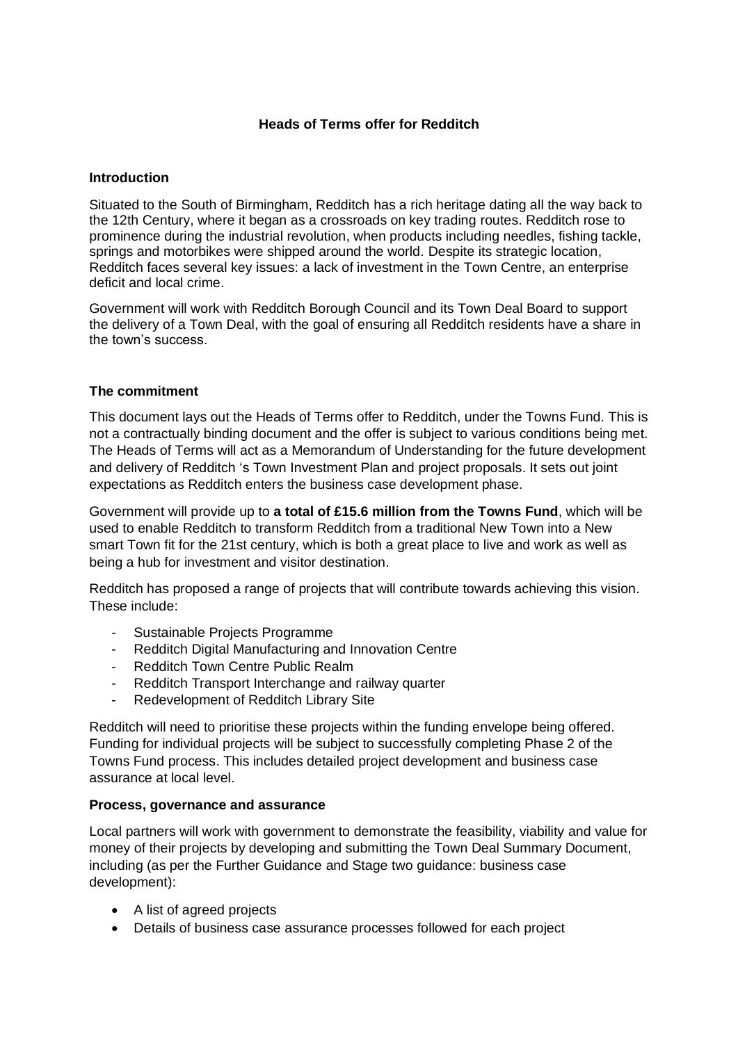## **Heads of Terms offer for Redditch**

### **Introduction**

Situated to the South of Birmingham, Redditch has a rich heritage dating all the way back to the 12th Century, where it began as a crossroads on key trading routes. Redditch rose to prominence during the industrial revolution, when products including needles, fishing tackle, springs and motorbikes were shipped around the world. Despite its strategic location, Redditch faces several key issues: a lack of investment in the Town Centre, an enterprise deficit and local crime.

Government will work with Redditch Borough Council and its Town Deal Board to support the delivery of a Town Deal, with the goal of ensuring all Redditch residents have a share in the town's success.

#### **The commitment**

This document lays out the Heads of Terms offer to Redditch, under the Towns Fund. This is not a contractually binding document and the offer is subject to various conditions being met. The Heads of Terms will act as a Memorandum of Understanding for the future development and delivery of Redditch 's Town Investment Plan and project proposals. It sets out joint expectations as Redditch enters the business case development phase.

Government will provide up to **a total of £15.6 million from the Towns Fund**, which will be used to enable Redditch to transform Redditch from a traditional New Town into a New smart Town fit for the 21st century, which is both a great place to live and work as well as being a hub for investment and visitor destination.

Redditch has proposed a range of projects that will contribute towards achieving this vision. These include:

- Sustainable Projects Programme
- Redditch Digital Manufacturing and Innovation Centre
- Redditch Town Centre Public Realm
- Redditch Transport Interchange and railway quarter
- Redevelopment of Redditch Library Site

Redditch will need to prioritise these projects within the funding envelope being offered. Funding for individual projects will be subject to successfully completing Phase 2 of the Towns Fund process. This includes detailed project development and business case assurance at local level.

#### **Process, governance and assurance**

Local partners will work with government to demonstrate the feasibility, viability and value for money of their projects by developing and submitting the Town Deal Summary Document, including (as per the Further Guidance and Stage two guidance: business case development):

- A list of agreed projects
- Details of business case assurance processes followed for each project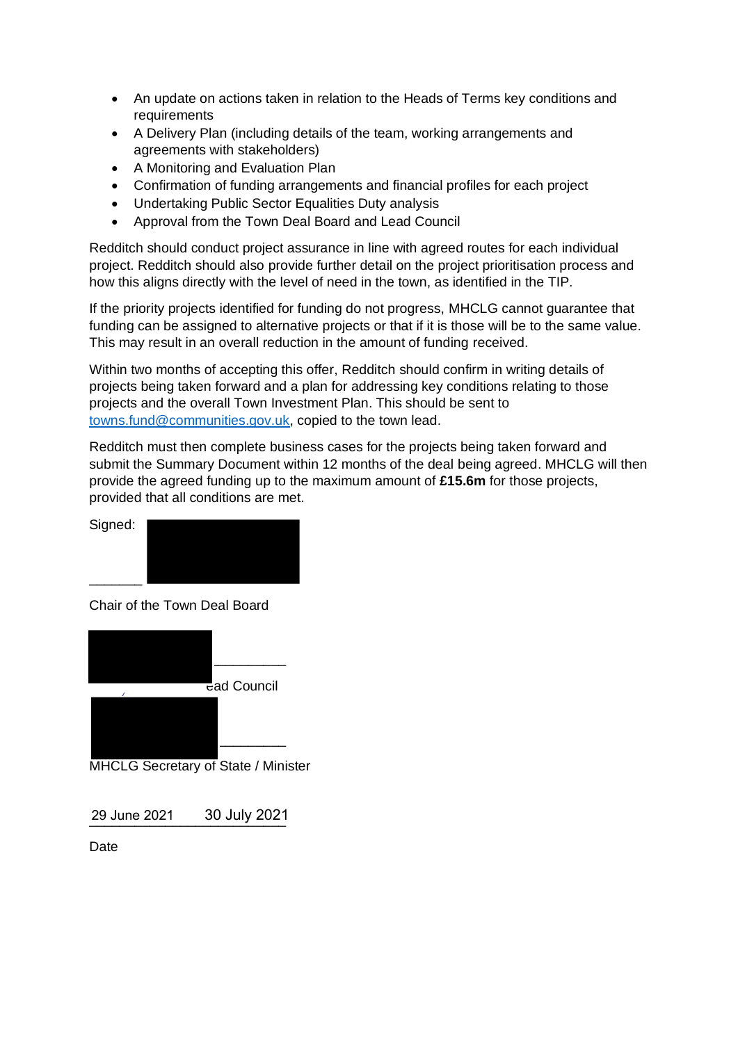- An update on actions taken in relation to the Heads of Terms key conditions and requirements
- A Delivery Plan (including details of the team, working arrangements and agreements with stakeholders)
- A Monitoring and Evaluation Plan
- Confirmation of funding arrangements and financial profiles for each project
- Undertaking Public Sector Equalities Duty analysis
- Approval from the Town Deal Board and Lead Council

Redditch should conduct project assurance in line with agreed routes for each individual project. Redditch should also provide further detail on the project prioritisation process and how this aligns directly with the level of need in the town, as identified in the TIP.

If the priority projects identified for funding do not progress, MHCLG cannot guarantee that funding can be assigned to alternative projects or that if it is those will be to the same value. This may result in an overall reduction in the amount of funding received.

Within two months of accepting this offer, Redditch should confirm in writing details of projects being taken forward and a plan for addressing key conditions relating to those projects and the overall Town Investment Plan. This should be sent to [towns.fund@communities.gov.uk,](mailto:towns.fund@communities.gov.uk) copied to the town lead.

Redditch must then complete business cases for the projects being taken forward and submit the Summary Document within 12 months of the deal being agreed. MHCLG will then provide the agreed funding up to the maximum amount of **£15.6m** for those projects, provided that all conditions are met.



Chair of the Town Deal Board



MHCLG Secretary of State / Minister

\_\_\_\_\_\_\_\_\_\_\_\_\_\_\_\_\_\_\_\_\_\_\_\_\_\_ 29 June 2021 30 July 2021

Date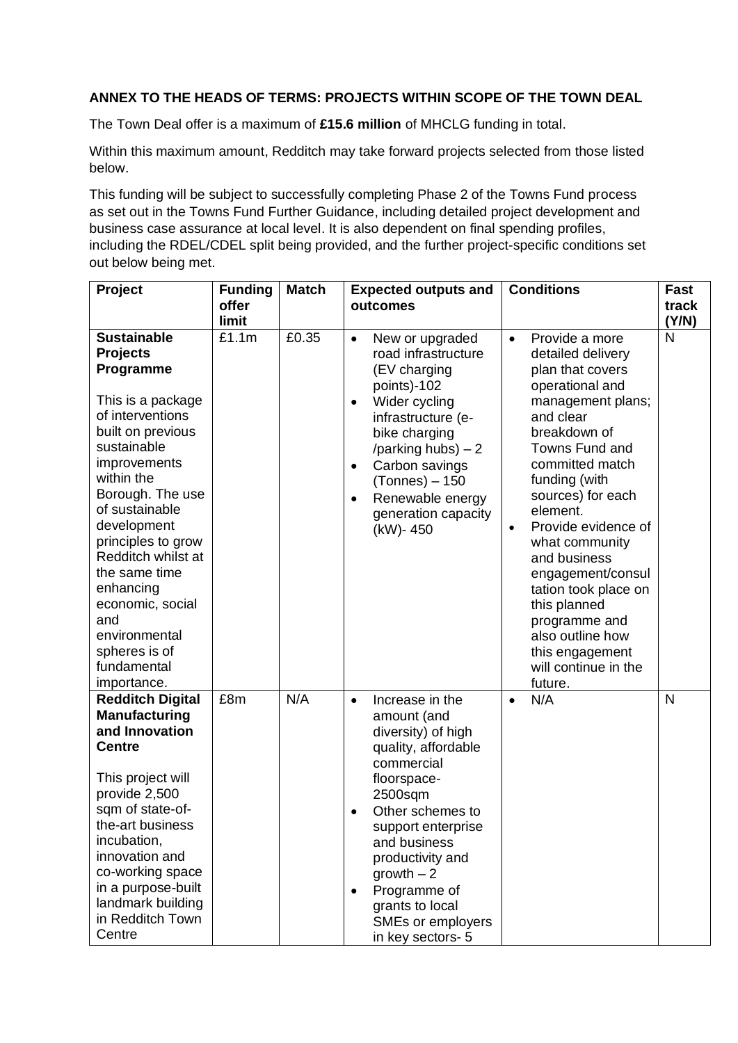## **ANNEX TO THE HEADS OF TERMS: PROJECTS WITHIN SCOPE OF THE TOWN DEAL**

The Town Deal offer is a maximum of **£15.6 million** of MHCLG funding in total.

Within this maximum amount, Redditch may take forward projects selected from those listed below.

This funding will be subject to successfully completing Phase 2 of the Towns Fund process as set out in the Towns Fund Further Guidance, including detailed project development and business case assurance at local level. It is also dependent on final spending profiles, including the RDEL/CDEL split being provided, and the further project-specific conditions set out below being met.

| Project                                                                                                                                                                                                                                                                                                                                                                                 | <b>Funding</b><br>offer<br>limit | <b>Match</b> | <b>Expected outputs and</b><br>outcomes                                                                                                                                                                                                                                                                                | <b>Conditions</b>                                                                                                                                                                                                                                                                                                                                                                                                                                              | Fast<br>track<br>(Y/N) |
|-----------------------------------------------------------------------------------------------------------------------------------------------------------------------------------------------------------------------------------------------------------------------------------------------------------------------------------------------------------------------------------------|----------------------------------|--------------|------------------------------------------------------------------------------------------------------------------------------------------------------------------------------------------------------------------------------------------------------------------------------------------------------------------------|----------------------------------------------------------------------------------------------------------------------------------------------------------------------------------------------------------------------------------------------------------------------------------------------------------------------------------------------------------------------------------------------------------------------------------------------------------------|------------------------|
| <b>Sustainable</b><br><b>Projects</b><br>Programme<br>This is a package<br>of interventions<br>built on previous<br>sustainable<br>improvements<br>within the<br>Borough. The use<br>of sustainable<br>development<br>principles to grow<br>Redditch whilst at<br>the same time<br>enhancing<br>economic, social<br>and<br>environmental<br>spheres is of<br>fundamental<br>importance. | £1.1m                            | £0.35        | New or upgraded<br>$\bullet$<br>road infrastructure<br>(EV charging<br>points)-102<br>Wider cycling<br>$\bullet$<br>infrastructure (e-<br>bike charging<br>/parking hubs) $-2$<br>Carbon savings<br>$\bullet$<br>$(Tonnes) - 150$<br>Renewable energy<br>$\bullet$<br>generation capacity<br>(kW)-450                  | Provide a more<br>$\bullet$<br>detailed delivery<br>plan that covers<br>operational and<br>management plans;<br>and clear<br>breakdown of<br>Towns Fund and<br>committed match<br>funding (with<br>sources) for each<br>element.<br>Provide evidence of<br>$\bullet$<br>what community<br>and business<br>engagement/consul<br>tation took place on<br>this planned<br>programme and<br>also outline how<br>this engagement<br>will continue in the<br>future. | N                      |
| <b>Redditch Digital</b><br><b>Manufacturing</b><br>and Innovation<br><b>Centre</b><br>This project will<br>provide 2,500<br>sqm of state-of-<br>the-art business<br>incubation,<br>innovation and<br>co-working space<br>in a purpose-built<br>landmark building<br>in Redditch Town<br>Centre                                                                                          | £8m                              | N/A          | Increase in the<br>$\bullet$<br>amount (and<br>diversity) of high<br>quality, affordable<br>commercial<br>floorspace-<br>2500sqm<br>Other schemes to<br>support enterprise<br>and business<br>productivity and<br>growth $-2$<br>Programme of<br>$\bullet$<br>grants to local<br>SMEs or employers<br>in key sectors-5 | N/A<br>$\bullet$                                                                                                                                                                                                                                                                                                                                                                                                                                               | N                      |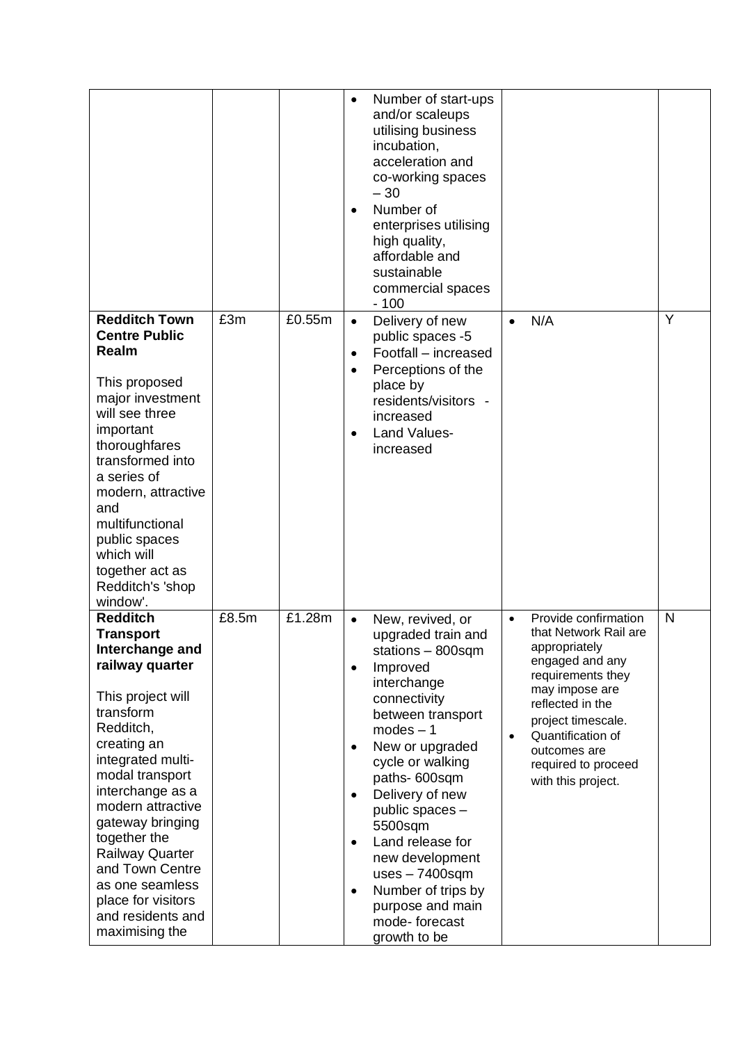|                                                                                                                                                                                                                                                                                                                                                                                           |       |        | $\bullet$<br>$\bullet$                                                     | Number of start-ups<br>and/or scaleups<br>utilising business<br>incubation,<br>acceleration and<br>co-working spaces<br>$-30$<br>Number of<br>enterprises utilising<br>high quality,<br>affordable and<br>sustainable<br>commercial spaces<br>$-100$                                                                                                                                       |                        |                                                                                                                                                                                                                                                      |   |
|-------------------------------------------------------------------------------------------------------------------------------------------------------------------------------------------------------------------------------------------------------------------------------------------------------------------------------------------------------------------------------------------|-------|--------|----------------------------------------------------------------------------|--------------------------------------------------------------------------------------------------------------------------------------------------------------------------------------------------------------------------------------------------------------------------------------------------------------------------------------------------------------------------------------------|------------------------|------------------------------------------------------------------------------------------------------------------------------------------------------------------------------------------------------------------------------------------------------|---|
| <b>Redditch Town</b><br><b>Centre Public</b><br>Realm<br>This proposed<br>major investment<br>will see three<br>important<br>thoroughfares<br>transformed into<br>a series of<br>modern, attractive<br>and<br>multifunctional<br>public spaces<br>which will<br>together act as<br>Redditch's 'shop<br>window'.                                                                           | £3m   | £0.55m | $\bullet$<br>$\bullet$<br>$\bullet$<br>$\bullet$                           | Delivery of new<br>public spaces -5<br>Footfall - increased<br>Perceptions of the<br>place by<br>residents/visitors -<br>increased<br>Land Values-<br>increased                                                                                                                                                                                                                            | $\bullet$              | N/A                                                                                                                                                                                                                                                  | Y |
| <b>Redditch</b><br><b>Transport</b><br>Interchange and<br>railway quarter<br>This project will<br>transform<br>Redditch,<br>creating an<br>integrated multi-<br>modal transport<br>interchange as a<br>modern attractive<br>gateway bringing<br>together the<br><b>Railway Quarter</b><br>and Town Centre<br>as one seamless<br>place for visitors<br>and residents and<br>maximising the | £8.5m | £1.28m | $\bullet$<br>$\bullet$<br>$\bullet$<br>$\bullet$<br>$\bullet$<br>$\bullet$ | New, revived, or<br>upgraded train and<br>stations $-$ 800sqm<br>Improved<br>interchange<br>connectivity<br>between transport<br>$modes - 1$<br>New or upgraded<br>cycle or walking<br>paths-600sqm<br>Delivery of new<br>public spaces -<br>5500sqm<br>Land release for<br>new development<br>$uses - 7400sqm$<br>Number of trips by<br>purpose and main<br>mode-forecast<br>growth to be | $\bullet$<br>$\bullet$ | Provide confirmation<br>that Network Rail are<br>appropriately<br>engaged and any<br>requirements they<br>may impose are<br>reflected in the<br>project timescale.<br>Quantification of<br>outcomes are<br>required to proceed<br>with this project. | N |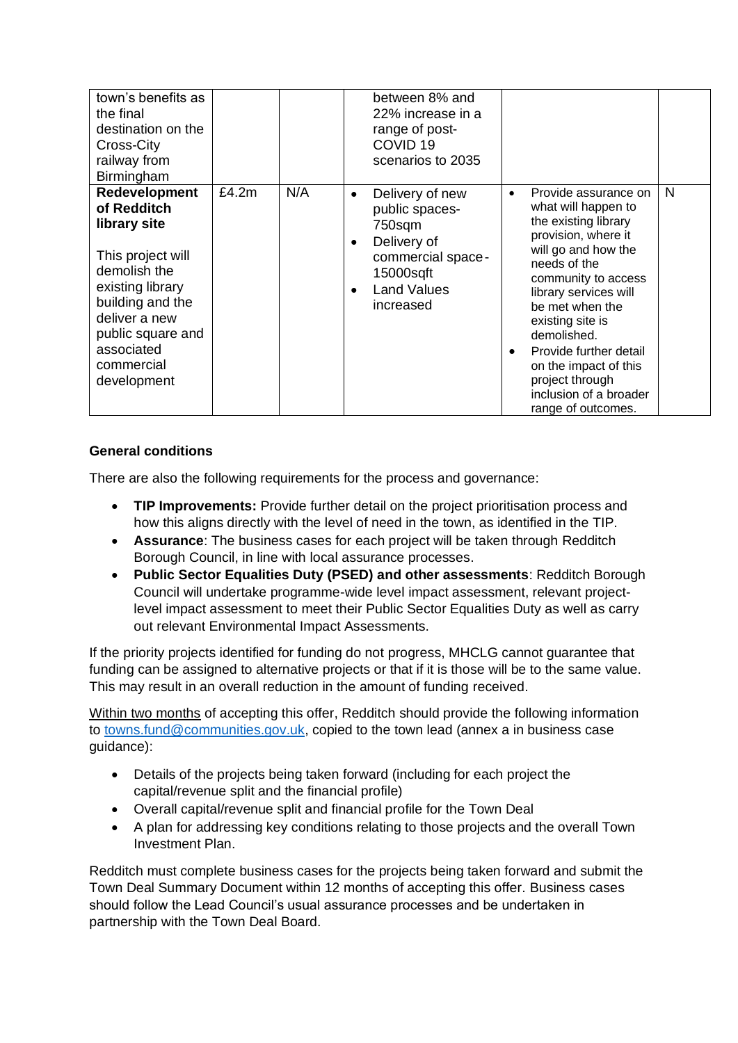| town's benefits as<br>the final<br>destination on the<br>Cross-City<br>railway from<br>Birmingham                                                                                                                 |          |     | between 8% and<br>22% increase in a<br>range of post-<br>COVID <sub>19</sub><br>scenarios to 2035                                                                      |                                                                                                                                                                                                                                                                                                                                                                                         |   |
|-------------------------------------------------------------------------------------------------------------------------------------------------------------------------------------------------------------------|----------|-----|------------------------------------------------------------------------------------------------------------------------------------------------------------------------|-----------------------------------------------------------------------------------------------------------------------------------------------------------------------------------------------------------------------------------------------------------------------------------------------------------------------------------------------------------------------------------------|---|
| <b>Redevelopment</b><br>of Redditch<br>library site<br>This project will<br>demolish the<br>existing library<br>building and the<br>deliver a new<br>public square and<br>associated<br>commercial<br>development | £4.2 $m$ | N/A | Delivery of new<br>$\bullet$<br>public spaces-<br>750sqm<br>Delivery of<br>$\bullet$<br>commercial space-<br>15000sqft<br><b>Land Values</b><br>$\bullet$<br>increased | Provide assurance on<br>$\bullet$<br>what will happen to<br>the existing library<br>provision, where it<br>will go and how the<br>needs of the<br>community to access<br>library services will<br>be met when the<br>existing site is<br>demolished.<br>Provide further detail<br>$\bullet$<br>on the impact of this<br>project through<br>inclusion of a broader<br>range of outcomes. | N |

# **General conditions**

There are also the following requirements for the process and governance:

- **TIP Improvements:** Provide further detail on the project prioritisation process and how this aligns directly with the level of need in the town, as identified in the TIP.
- **Assurance**: The business cases for each project will be taken through Redditch Borough Council, in line with local assurance processes.
- **Public Sector Equalities Duty (PSED) and other assessments**: Redditch Borough Council will undertake programme-wide level impact assessment, relevant projectlevel impact assessment to meet their Public Sector Equalities Duty as well as carry out relevant Environmental Impact Assessments.

If the priority projects identified for funding do not progress, MHCLG cannot guarantee that funding can be assigned to alternative projects or that if it is those will be to the same value. This may result in an overall reduction in the amount of funding received.

Within two months of accepting this offer, Redditch should provide the following information to [towns.fund@communities.gov.uk,](mailto:towns.fund@communities.gov.uk) copied to the town lead (annex a in business case guidance):

- Details of the projects being taken forward (including for each project the capital/revenue split and the financial profile)
- Overall capital/revenue split and financial profile for the Town Deal
- A plan for addressing key conditions relating to those projects and the overall Town Investment Plan.

Redditch must complete business cases for the projects being taken forward and submit the Town Deal Summary Document within 12 months of accepting this offer. Business cases should follow the Lead Council's usual assurance processes and be undertaken in partnership with the Town Deal Board.